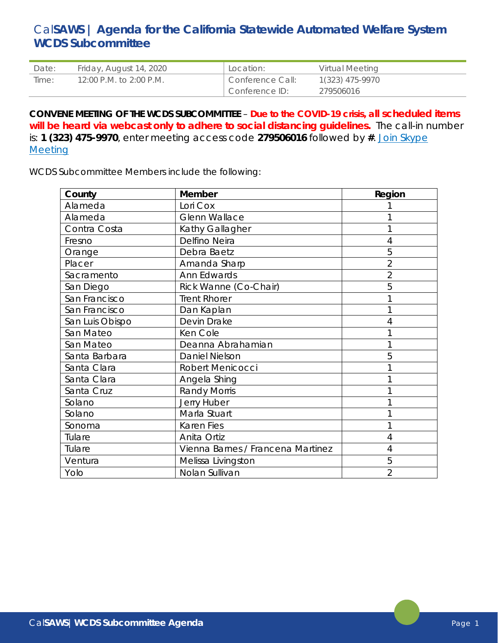## Cal**SAWS | Agenda for the California Statewide Automated Welfare System WCDS Subcommittee**

| Date: | Friday, August 14, 2020 | Location:        | Virtual Meeting |
|-------|-------------------------|------------------|-----------------|
| Time: | 12:00 P.M. to 2:00 P.M. | Conference Call: | 1(323) 475-9970 |
|       |                         | Conference ID:   | 279506016       |

**CONVENE MEETING OF THE WCDS SUBCOMMITTEE** – **Due to the COVID-19 crisis, all scheduled items will be heard via webcast only to adhere to social distancing guidelines.** The call-in number is: **1 (323) 475-9970**, enter meeting access code **279506016** followed by **#**. [Join Skype](https://meet.lync.com/calwin/cat.guidry/5VLJ4Y63)  **Meeting** 

WCDS Subcommittee Members include the following:

| County          | Member                            | Region         |
|-----------------|-----------------------------------|----------------|
| Alameda         | Lori Cox                          |                |
| Alameda         | <b>Glenn Wallace</b>              |                |
| Contra Costa    | Kathy Gallagher                   |                |
| Fresno          | Delfino Neira                     | 4              |
| Orange          | Debra Baetz                       | 5              |
| Placer          | Amanda Sharp                      | $\overline{2}$ |
| Sacramento      | Ann Edwards                       | $\overline{2}$ |
| San Diego       | Rick Wanne (Co-Chair)             | 5              |
| San Francisco   | <b>Trent Rhorer</b>               |                |
| San Francisco   | Dan Kaplan                        |                |
| San Luis Obispo | Devin Drake                       | 4              |
| San Mateo       | Ken Cole                          |                |
| San Mateo       | Deanna Abrahamian                 |                |
| Santa Barbara   | Daniel Nielson                    | 5              |
| Santa Clara     | Robert Menicocci                  |                |
| Santa Clara     | Angela Shing                      |                |
| Santa Cruz      | <b>Randy Morris</b>               |                |
| Solano          | Jerry Huber                       |                |
| Solano          | Marla Stuart                      |                |
| Sonoma          | <b>Karen Fies</b>                 |                |
| Tulare          | Anita Ortiz                       | 4              |
| Tulare          | Vienna Barnes / Francena Martinez | 4              |
| Ventura         | Melissa Livingston                | 5              |
| Yolo            | Nolan Sullivan                    | $\overline{2}$ |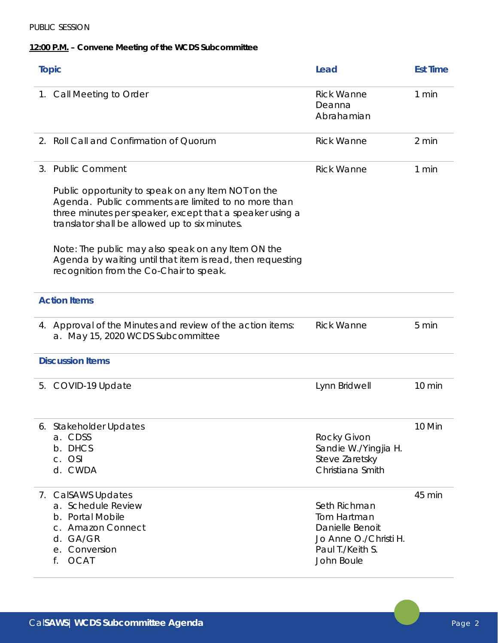## PUBLIC SESSION

## **12:00 P.M. – Convene Meeting of the WCDS Subcommittee**

| <b>Topic</b> |                                                                                                                                                                                                                         | Lead                                                                                                      | <b>Est Time</b> |
|--------------|-------------------------------------------------------------------------------------------------------------------------------------------------------------------------------------------------------------------------|-----------------------------------------------------------------------------------------------------------|-----------------|
|              | 1. Call Meeting to Order                                                                                                                                                                                                | <b>Rick Wanne</b><br>Deanna<br>Abrahamian                                                                 | 1 min           |
|              | 2. Roll Call and Confirmation of Quorum                                                                                                                                                                                 | <b>Rick Wanne</b>                                                                                         | 2 min           |
| 3.           | <b>Public Comment</b>                                                                                                                                                                                                   | <b>Rick Wanne</b>                                                                                         | 1 min           |
|              | Public opportunity to speak on any Item NOT on the<br>Agenda. Public comments are limited to no more than<br>three minutes per speaker, except that a speaker using a<br>translator shall be allowed up to six minutes. |                                                                                                           |                 |
|              | Note: The public may also speak on any Item ON the<br>Agenda by waiting until that item is read, then requesting<br>recognition from the Co-Chair to speak.                                                             |                                                                                                           |                 |
|              | <b>Action Items</b>                                                                                                                                                                                                     |                                                                                                           |                 |
|              | 4. Approval of the Minutes and review of the action items:<br>a. May 15, 2020 WCDS Subcommittee                                                                                                                         | <b>Rick Wanne</b>                                                                                         | 5 min           |
|              | <b>Discussion Items</b>                                                                                                                                                                                                 |                                                                                                           |                 |
| 5.           | COVID-19 Update                                                                                                                                                                                                         | Lynn Bridwell                                                                                             | 10 min          |
|              | 6. Stakeholder Updates<br>a. CDSS<br>b. DHCS<br>c. OSI<br>d. CWDA                                                                                                                                                       | Rocky Givon<br>Sandie W./Yingjia H.<br>Steve Zaretsky<br>Christiana Smith                                 | 10 Min          |
|              | 7. CalSAWS Updates<br>a. Schedule Review<br>b. Portal Mobile<br>c. Amazon Connect<br>d. GA/GR<br>e. Conversion<br><b>OCAT</b><br>f.                                                                                     | Seth Richman<br>Tom Hartman<br>Danielle Benoit<br>Jo Anne O./Christi H.<br>Paul T./Keith S.<br>John Boule | 45 min          |